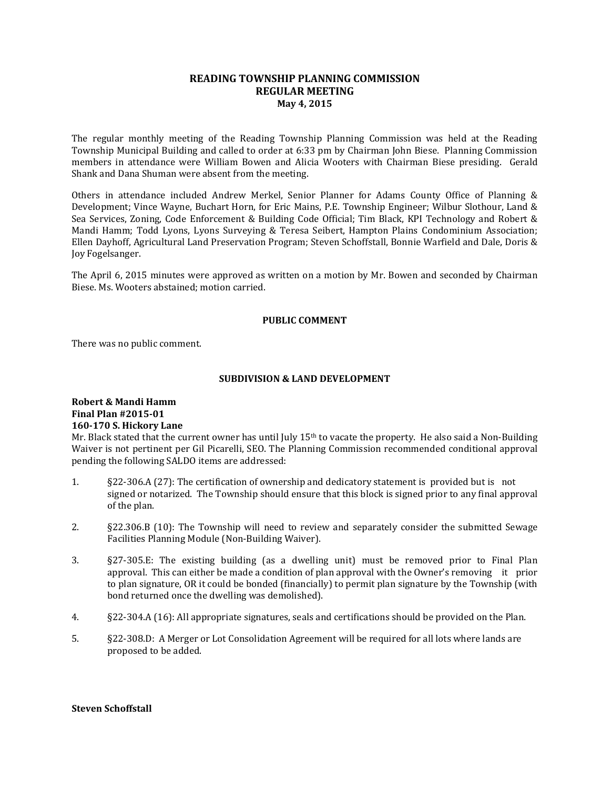## **READING TOWNSHIP PLANNING COMMISSION REGULAR MEETING May 4, 2015**

The regular monthly meeting of the Reading Township Planning Commission was held at the Reading Township Municipal Building and called to order at 6:33 pm by Chairman John Biese. Planning Commission members in attendance were William Bowen and Alicia Wooters with Chairman Biese presiding. Gerald Shank and Dana Shuman were absent from the meeting.

Others in attendance included Andrew Merkel, Senior Planner for Adams County Office of Planning & Development; Vince Wayne, Buchart Horn, for Eric Mains, P.E. Township Engineer; Wilbur Slothour, Land & Sea Services, Zoning, Code Enforcement & Building Code Official; Tim Black, KPI Technology and Robert & Mandi Hamm; Todd Lyons, Lyons Surveying & Teresa Seibert, Hampton Plains Condominium Association; Ellen Dayhoff, Agricultural Land Preservation Program; Steven Schoffstall, Bonnie Warfield and Dale, Doris & Joy Fogelsanger.

The April 6, 2015 minutes were approved as written on a motion by Mr. Bowen and seconded by Chairman Biese. Ms. Wooters abstained; motion carried.

### **PUBLIC COMMENT**

There was no public comment.

## **SUBDIVISION & LAND DEVELOPMENT**

## **Robert & Mandi Hamm Final Plan #2015-01 160-170 S. Hickory Lane**

Mr. Black stated that the current owner has until July 15th to vacate the property. He also said a Non-Building Waiver is not pertinent per Gil Picarelli, SEO. The Planning Commission recommended conditional approval pending the following SALDO items are addressed:

- 1. §22-306.A (27): The certification of ownership and dedicatory statement is provided but is not signed or notarized. The Township should ensure that this block is signed prior to any final approval of the plan.
- 2. §22.306.B (10): The Township will need to review and separately consider the submitted Sewage Facilities Planning Module (Non-Building Waiver).
- 3. §27-305.E: The existing building (as a dwelling unit) must be removed prior to Final Plan approval. This can either be made a condition of plan approval with the Owner's removing it prior to plan signature, OR it could be bonded (financially) to permit plan signature by the Township (with bond returned once the dwelling was demolished).
- 4. §22-304.A (16): All appropriate signatures, seals and certifications should be provided on the Plan.
- 5. §22-308.D: A Merger or Lot Consolidation Agreement will be required for all lots where lands are proposed to be added.

### **Steven Schoffstall**